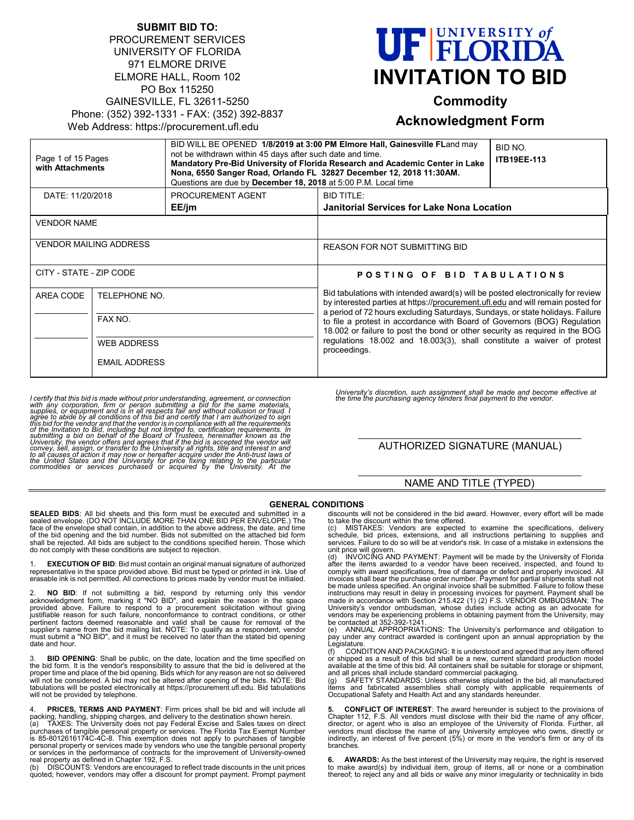| <b>SUBMIT BID TO:</b>                       |
|---------------------------------------------|
| <b>PROCUREMENT SERVICES</b>                 |
| UNIVERSITY OF FLORIDA                       |
| 971 ELMORE DRIVE                            |
| ELMORE HALL, Room 102                       |
| PO Box 115250                               |
| GAINESVILLE, FL 32611-5250                  |
| Phone: (352) 392-1331 - FAX: (352) 392-8837 |
| Web Address: https://procurement.ufl.edu    |
|                                             |

# **UF FLORIDA INVITATION TO BID**

# **Commodity**

# **Acknowledgment Form**

| Page 1 of 15 Pages<br>with Attachments |                                                                                                                   | BID WILL BE OPENED 1/8/2019 at 3:00 PM Elmore Hall, Gainesville FLand may<br>not be withdrawn within 45 days after such date and time.<br>Mandatory Pre-Bid University of Florida Research and Academic Center in Lake<br>Nona, 6550 Sanger Road, Orlando FL 32827 December 12, 2018 11:30AM.<br>Questions are due by December 18, 2018 at 5:00 P.M. Local time |                                                                                                                                                                                                                                                                                                                                                                                                                                                                                                          | BID NO.<br><b>ITB19EE-113</b> |  |
|----------------------------------------|-------------------------------------------------------------------------------------------------------------------|-----------------------------------------------------------------------------------------------------------------------------------------------------------------------------------------------------------------------------------------------------------------------------------------------------------------------------------------------------------------|----------------------------------------------------------------------------------------------------------------------------------------------------------------------------------------------------------------------------------------------------------------------------------------------------------------------------------------------------------------------------------------------------------------------------------------------------------------------------------------------------------|-------------------------------|--|
|                                        | PROCUREMENT AGENT<br><b>BID TITLE:</b><br>DATE: 11/20/2018<br>EE/jm<br>Janitorial Services for Lake Nona Location |                                                                                                                                                                                                                                                                                                                                                                 |                                                                                                                                                                                                                                                                                                                                                                                                                                                                                                          |                               |  |
| <b>VENDOR NAME</b>                     |                                                                                                                   |                                                                                                                                                                                                                                                                                                                                                                 |                                                                                                                                                                                                                                                                                                                                                                                                                                                                                                          |                               |  |
| <b>VENDOR MAILING ADDRESS</b>          |                                                                                                                   |                                                                                                                                                                                                                                                                                                                                                                 | <b>REASON FOR NOT SUBMITTING BID</b>                                                                                                                                                                                                                                                                                                                                                                                                                                                                     |                               |  |
| CITY - STATE - ZIP CODE                |                                                                                                                   |                                                                                                                                                                                                                                                                                                                                                                 | POSTING OF BID TABULATIONS                                                                                                                                                                                                                                                                                                                                                                                                                                                                               |                               |  |
| AREA CODE                              | TELEPHONE NO.<br>FAX NO.<br><b>WEB ADDRESS</b>                                                                    |                                                                                                                                                                                                                                                                                                                                                                 | Bid tabulations with intended award(s) will be posted electronically for review<br>by interested parties at https://procurement.ufl.edu and will remain posted for<br>a period of 72 hours excluding Saturdays, Sundays, or state holidays. Failure<br>to file a protest in accordance with Board of Governors (BOG) Regulation<br>18.002 or failure to post the bond or other security as required in the BOG<br>requiations 18,002 and 18,003(3), shall constitute a waiver of protest<br>proceedings. |                               |  |
|                                        |                                                                                                                   |                                                                                                                                                                                                                                                                                                                                                                 |                                                                                                                                                                                                                                                                                                                                                                                                                                                                                                          |                               |  |
|                                        |                                                                                                                   |                                                                                                                                                                                                                                                                                                                                                                 |                                                                                                                                                                                                                                                                                                                                                                                                                                                                                                          |                               |  |
|                                        | <b>EMAIL ADDRESS</b>                                                                                              |                                                                                                                                                                                                                                                                                                                                                                 |                                                                                                                                                                                                                                                                                                                                                                                                                                                                                                          |                               |  |

I certify that this bid is made without prior understanding, agreement, or connection<br>with any corporation, firm or person submitting a bid for the same materials,<br>supplies, or equipment and is in all respects fair and wit

*University's discretion, such assignment shall be made and become effective at the time the purchasing agency tenders final payment to the vendor.*

# AUTHORIZED SIGNATURE (MANUAL)

# NAME AND TITLE (TYPED)

#### **GENERAL CONDITIONS**

**SEALED BIDS**: All bid sheets and this form must be executed and submitted in a sealed envelope. (DO NOT INCLUDE MORE THAN ONE BID PER ENVELOPE.) The face of the envelope shall contain, in addition to the above address, the date, and time of the bid opening and the bid number. Bids not submitted on the attached bid form shall be rejected. All bids are subject to the conditions specified herein. Those which do not comply with these conditions are subject to rejection.

1. **EXECUTION OF BID**: Bid must contain an original manual signature of authorized representative in the space provided above. Bid must be typed or printed in ink. Use of erasable ink is not permitted. All corrections to prices made by vendor must be initialed.

2. **NO BID**: If not submitting a bid, respond by returning only this vendor acknowledgment form, marking it "NO BID", and explain the reason in the space provided above. Failure to respond to a procurement solicitation wit pertinent factors deemed reasonable and valid shall be cause for removal of the<br>supplier's name from the bid mailing list. NOTE: To qualify as a respondent, vendor<br>must submit a "NO BID", and it must be received no later t date and hour.

**BID OPENING**: Shall be public, on the date, location and the time specified on the bid form. It is the vendor's responsibility to assure that the bid is delivered at the<br>proper time and place of the bid opening. Bids which for any reason are not so delivered<br>will not be considered. A bid may not be a tabulations will be posted electronically at https://procurement.ufl.edu. Bid tabulations will not be provided by telephone.

4. **PRICES, TERMS AND PAYMENT**: Firm prices shall be bid and will include all<br>packing, handling, shipping charges, and delivery to the destination shown herein.<br>(a) TAXES: The University does not pay Federal Excise and S purchases of tangible personal property or services. The Florida Tax Exempt Number<br>is 85-8012616174C-4C-8. This exemption does not apply to purchases of tangible<br>personal property or services made by vendors who use the ta or services in the performance of contracts for the improvement of University-owned real property as defined in Chapter 192, F.S.

(b) DISCOUNTS: Vendors are encouraged to reflect trade discounts in the unit prices quoted; however, vendors may offer a discount for prompt payment. Prompt payment discounts will not be considered in the bid award. However, every effort will be made

to take the discount within the time offered. (c) MISTAKES: Vendors are expected to examine the specifications, delivery schedule, bid prices, extensions, and all instructions pertaining to supplies and services. Failure to do so will be at vendor's risk. In case of a mistake in extensions the unit price will govern.

INVOICING AND PAYMENT: Payment will be made by the University of Florida after the items awarded to a vendor have been received, inspected, and found to comply with award specifications, free of damage or defect and properly invoiced. All invoices shall bear the purchase order number. Payment for partial shipments shall not<br>be made unless specified. An original invoice shall be submitted. Failure to follow these<br>instructions may result in delay in processin be contacted at 352-392-1241.

(e) ANNUAL APPROPRIATIONS: The University's performance and obligation to pay under any contract awarded is contingent upon an annual appropriation by the **Legislature** 

(f) CONDITION AND PACKAGING: It is understood and agreed that any item offered or shipped as a result of this bid shall be a new, current standard production model available at the time of this bid. All containers shall be suitable for storage or shipment,<br>and all prices shall include standard commercial packaging.<br>(g) SAFETY STANDARDS: Unless otherwise stipulated in the bid, all ma

items and fabricated assemblies shall comply with applicable requirements of Occupational Safety and Health Act and any standards hereunder.

**5. CONFLICT OF INTEREST**: The award hereunder is subject to the provisions of<br>Chapter 112, F.S. All vendors must disclose with their bid the name of any officer,<br>director, or agent who is also an employee of the Univer vendors must disclose the name of any University employee who owns, directly or indirectly, an interest of five percent (5%) or more in the vendor's firm or any of its branches.

**6. AWARDS:** As the best interest of the University may require, the right is reserved to make award(s) by individual item, group of items, all or none or a combination thereof; to reject any and all bids or waive any minor irregularity or technicality in bids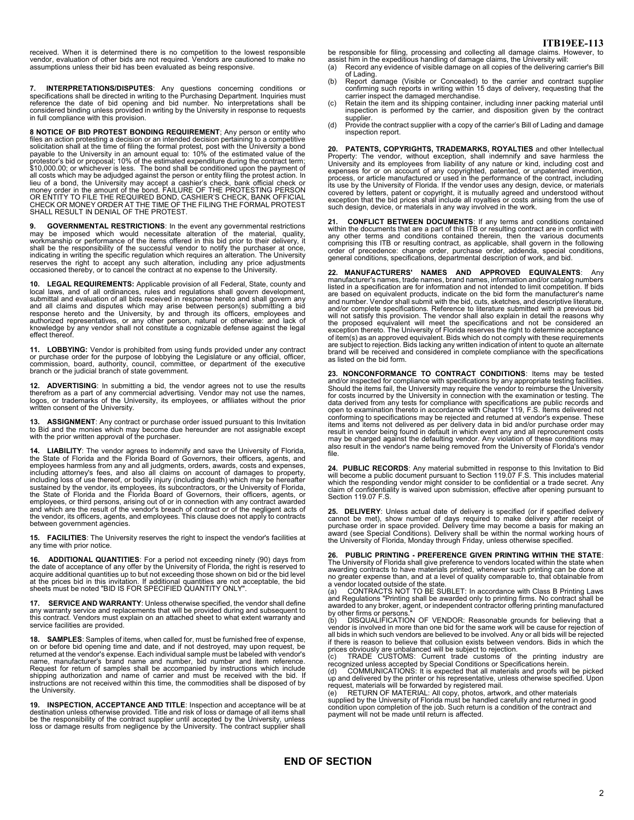received. When it is determined there is no competition to the lowest responsible<br>vendor, evaluation of other bids are not required. Vendors are cautioned to make no<br>assumptions unless their bid has been evaluated as being

7. **INTERPRETATIONS/DISPUTES**: Any questions concerning conditions or specifications shall be directed in writing to the Purchasing Department. Inquiries must reference the date of bid opening and bid number. No interpreta

**8 NOTICE OF BID PROTEST BONDING REQUIREMENT**; Any person or entity who files an action protesting a decision or an intended decision pertaining to a competitive solicitation shall at the time of filing the formal protest, post with the University a bond payable to the University in an amount lieu of a bond, the University may accept a cashier's check, bank official check or<br>money order in the amount of the bond. FAILURE OF THE PROTESTING PERSON<br>OR ENTITY TO FILE THE REQUIRED BOND, CASHIER'S CHECK, BANK OFFICIA

**9. GOVERNMENTAL RESTRICTIONS**: In the event any governmental restrictions<br>may be imposed which would necessitate alteration of the material, quality,<br>workmanship or performance of the items offered in this b shall be the responsibility of the successful vendor to notify the purchaser at once,<br>indicating in writing the specific regulation which requires an alteration. The University<br>reserves the right to accept any such alterat

**10. LEGAL REQUIREMENTS:** Applicable provision of all Federal, State, county and local laws, and of all ordinances, rules and regulations shall govern development, submittal and evaluation of all bids received in response hereto and shall govern any and all claims and disputes which may arise between person(s) submitting a bid<br>response hereto and the University, by and through its officers, employees and<br>authorized representatives, or any other person, natural or othe effect thereof.

**LOBBYING:** Vendor is prohibited from using funds provided under any contract or purchase order for the purpose of lobbying the Legislature or any official, officer, commission, board, authority, council, committee, or department of the executive branch or the judicial branch of state government.

**12. ADVERTISING**: In submitting a bid, the vendor agrees not to use the results therefrom as a part of any commercial advertising. Vendor may not use the names, logos, or trademarks of the University, its employees, or affiliates without the prior written consent of the University.

**13. ASSIGNMENT**: Any contract or purchase order issued pursuant to this Invitation to Bid and the monies which may become due hereunder are not assignable except with the prior written approval of the purchaser.

**14. LIABILITY**: The vendor agrees to indemnify and save the University of Florida, the State of Florida and the Florida Board of Governors, their officers, agents, and employees harmless from any and all judgments, orders, awards, costs and expenses, including attorney's fees, and also all claims on account of damages to property, including loss of use thereof, or bodily injury (including death) which may be hereafter<br>sustained by the vendor, its employees, its subcontractors, or the University of Florida,<br>the State of Florida and the Florida Board employees, or third persons, arising out of or in connection with any contract awarded<br>and which are the result of the vendor's breach of contract or of the negligent acts of<br>the vendor, its officers, agents, and employees between government agencies.

**15. FACILITIES**: The University reserves the right to inspect the vendor's facilities at any time with prior notice.

**16. ADDITIONAL QUANTITIES:** For a period not exceeding ninety (90) days from the date of acceptance of any offer by the University of Florida, the right is reserved to acquire additional quantities up to but not exceeding

**17. SERVICE AND WARRANTY**: Unless otherwise specified, the vendor shall define any warranty service and replacements that will be provided during and subsequent to this contract. Vendors must explain on an attached sheet to what extent warranty and service facilities are provided.

**18. SAMPLES**: Samples of items, when called for, must be furnished free of expense, on or before bid opening time and date, and if not destroyed, may upon request, be<br>returned at the vendor's expense. Each individual sample must be labeled with vendor's<br>name, manufacturer's brand name and number, bid numb the University.

**19. INSPECTION, ACCEPTANCE AND TITLE**: Inspection and acceptance will be at destination unless otherwise provided. Title and risk of loss or damage of all items shall be the responsibility of the contract supplier until accepted by the University, unless loss or damage results from negligence by the University. The contract supplier shall

be responsible for filing, processing and collecting all damage claims. However, to<br>assist him in the expeditious handling of damage claims, the University will:<br>(a) Record any evidence of visible damage on all copies of

- of Lading.<br>
(b) Report damage (Visible or Concealed) to the carrier and contract supplier<br>
Report damaged merchandise.<br>
(c) Retain the item and its shipping container, including inner packing material until<br>
(c) Retain the
- supplier.
- (d) Provide the contract supplier with a copy of the carrier's Bill of Lading and damage inspection report.

**20. PATENTS, COPYRIGHTS, TRADEMARKS, ROYALTIES** and other Intellectual<br>Property: The vendor, without exception, shall indemnify and save harmless the<br>University and its employees from liability of any nature or kind, incl expenses for or on account of any copyrighted, patented, or unpatented invention, process, or article manufactured or used in the performance of the contract, including its use by the University of Florida. If the vendor u such design, device, or materials in any way involved in the work

21. CONFLICT BETWEEN DOCUMENTS: If any terms and conditions contained within the documents that are a part of this ITB or resulting contract are in conflict with any other terms and conditions contained therein, then the v

**22. MANUFACTURERS' NAMES AND APPROVED EQUIVALENTS**: Any manufacturer's names, trade names, brand names, information and/or catalog numbers listed in a specification are for information and not intended to limit competition. If bids are based on equivalent products, indicate on the bid form the manufacturer's name and number. Vendor shall submit with the bid, cuts, sketches, and descriptive literature, and/or complete specifications. Reference to literature submitted with a previous bid<br>will not satisfy this provision. The vendor shall also explain in detail the reasons why<br>the proposed equivalent will meet the spe exception thereto. The University of Florida reserves the right to determine acceptance<br>of item(s) as an approved equivalent. Bids which do not comply with these requirements<br>are subject to rejection. Bids lacking any writ brand will be received and considered in complete compliance with the specifications as listed on the bid form.

**23. NONCONFORMANCE TO CONTRACT CONDITIONS**: Items may be tested<br>and/or inspected for compliance with specifications by any appropriate testing facilities.<br>Should the items fail, the University may require the vendor to re for costs incurred by the University in connection with the examination or testing. The<br>data derived from any tests for compliance with specifications are public records and<br>open to examination thereto in accordance with C conforming to specifications may be rejected and returned at vendor's expense. These<br>items and items not delivered as per delivery data in bid and/or purchase order may<br>result in vendor being found in default in which even may be charged against the defaulting vendor. Any violation of these conditions may also result in the vendor's name being removed from the University of Florida's vendor file.

**24. PUBLIC RECORDS**: Any material submitted in response to this Invitation to Bid will become a public document pursuant to Section 119.07 F.S. This includes material which the responding vendor might consider to be confidential or a trade secret. Any claim of confidentiality is waived upon submission, effective after opening pursuant to Section 119.07 F.S.

25. DELIVERY: Unless actual date of delivery is specified (or if specified delivery cannot be met), show number of days required to make delivery after receipt of purchase order in space provided. Delivery time may become

**26. PUBLIC PRINTING - PREFERENCE GIVEN PRINTING WITHIN THE STATE**: The University of Florida shall give preference to vendors located within the state when awarding contracts to have materials printed, whenever such printing can be done at no greater expense than, and at a level of quality comparable to, that obtainable from a vendor located outside of the state.<br>(a) CONTRACTS NOT TO BE SU

(a) CONTRACTS NOT TO BE SUBLET: In accordance with Class B Printing Laws and Regulations "Printing shall be awarded only to printing firms. No contract shall be awarded to any broker, agent, or independent contractor offering printing manufactured

by other firms or persons." (b) DISQUALIFICATION OF VENDOR: Reasonable grounds for believing that a vendor is involved in more than one bid for the same work will be cause for rejection of<br>all bids in which such vendors are believed to be involved. Anv or all bids will be reiected all bids in which such vendors are believed to be involved. Any or all bids will be rejected<br>if there is reason to believe that collusion exists between vendors. Bids in which the<br>prices obviously are unbalanced will be su

condition upon completion of the job. Such return is a condition of the contract and payment will not be made until return is affected.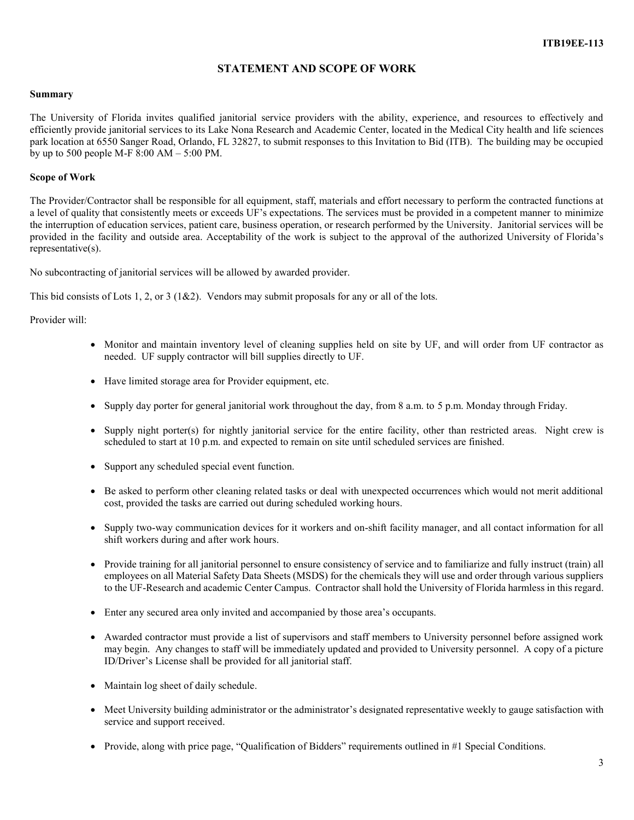# **STATEMENT AND SCOPE OF WORK**

### **Summary**

The University of Florida invites qualified janitorial service providers with the ability, experience, and resources to effectively and efficiently provide janitorial services to its Lake Nona Research and Academic Center, located in the Medical City health and life sciences park location at 6550 Sanger Road, Orlando, FL 32827, to submit responses to this Invitation to Bid (ITB). The building may be occupied by up to 500 people M-F 8:00 AM  $-$  5:00 PM.

# **Scope of Work**

The Provider/Contractor shall be responsible for all equipment, staff, materials and effort necessary to perform the contracted functions at a level of quality that consistently meets or exceeds UF's expectations. The services must be provided in a competent manner to minimize the interruption of education services, patient care, business operation, or research performed by the University. Janitorial services will be provided in the facility and outside area. Acceptability of the work is subject to the approval of the authorized University of Florida's representative(s).

No subcontracting of janitorial services will be allowed by awarded provider.

This bid consists of Lots 1, 2, or 3 (1&2). Vendors may submit proposals for any or all of the lots.

Provider will:

- Monitor and maintain inventory level of cleaning supplies held on site by UF, and will order from UF contractor as needed. UF supply contractor will bill supplies directly to UF.
- Have limited storage area for Provider equipment, etc.
- Supply day porter for general janitorial work throughout the day, from 8 a.m. to 5 p.m. Monday through Friday.
- Supply night porter(s) for nightly janitorial service for the entire facility, other than restricted areas. Night crew is scheduled to start at 10 p.m. and expected to remain on site until scheduled services are finished.
- Support any scheduled special event function.
- Be asked to perform other cleaning related tasks or deal with unexpected occurrences which would not merit additional cost, provided the tasks are carried out during scheduled working hours.
- Supply two-way communication devices for it workers and on-shift facility manager, and all contact information for all shift workers during and after work hours.
- Provide training for all janitorial personnel to ensure consistency of service and to familiarize and fully instruct (train) all employees on all Material Safety Data Sheets (MSDS) for the chemicals they will use and order through various suppliers to the UF-Research and academic Center Campus. Contractor shall hold the University of Florida harmless in this regard.
- Enter any secured area only invited and accompanied by those area's occupants.
- Awarded contractor must provide a list of supervisors and staff members to University personnel before assigned work may begin. Any changes to staff will be immediately updated and provided to University personnel. A copy of a picture ID/Driver's License shall be provided for all janitorial staff.
- Maintain log sheet of daily schedule.
- Meet University building administrator or the administrator's designated representative weekly to gauge satisfaction with service and support received.
- Provide, along with price page, "Qualification of Bidders" requirements outlined in #1 Special Conditions.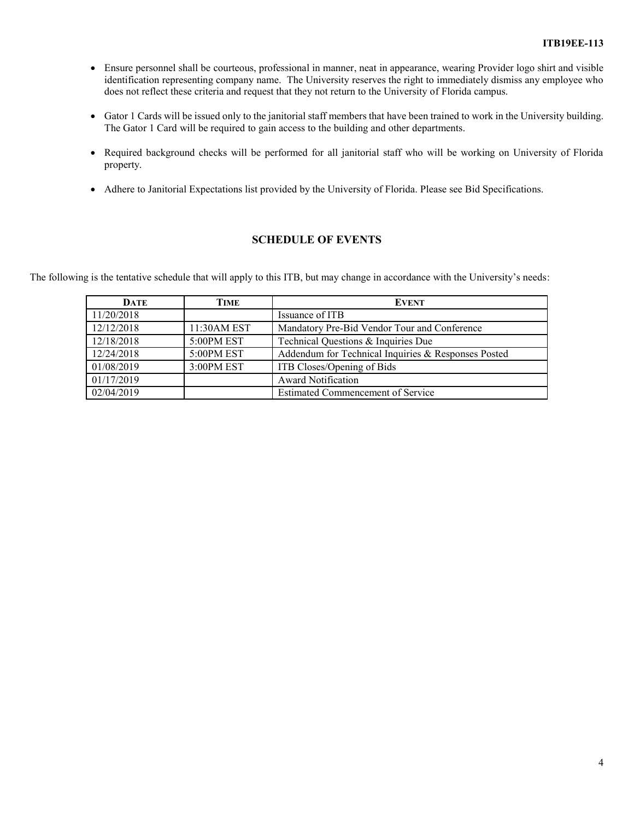- Ensure personnel shall be courteous, professional in manner, neat in appearance, wearing Provider logo shirt and visible identification representing company name. The University reserves the right to immediately dismiss any employee who does not reflect these criteria and request that they not return to the University of Florida campus.
- Gator 1 Cards will be issued only to the janitorial staff members that have been trained to work in the University building. The Gator 1 Card will be required to gain access to the building and other departments.
- Required background checks will be performed for all janitorial staff who will be working on University of Florida property.
- Adhere to Janitorial Expectations list provided by the University of Florida. Please see Bid Specifications.

# **SCHEDULE OF EVENTS**

The following is the tentative schedule that will apply to this ITB, but may change in accordance with the University's needs:

| <b>DATE</b> | TIME         | <b>EVENT</b>                                        |
|-------------|--------------|-----------------------------------------------------|
| 11/20/2018  |              | Issuance of ITB                                     |
| 12/12/2018  | 11:30 AM EST | Mandatory Pre-Bid Vendor Tour and Conference        |
| 12/18/2018  | 5:00PM EST   | Technical Questions & Inquiries Due                 |
| 12/24/2018  | 5:00PM EST   | Addendum for Technical Inquiries & Responses Posted |
| 01/08/2019  | 3:00PM EST   | ITB Closes/Opening of Bids                          |
| 01/17/2019  |              | <b>Award Notification</b>                           |
| 02/04/2019  |              | Estimated Commencement of Service                   |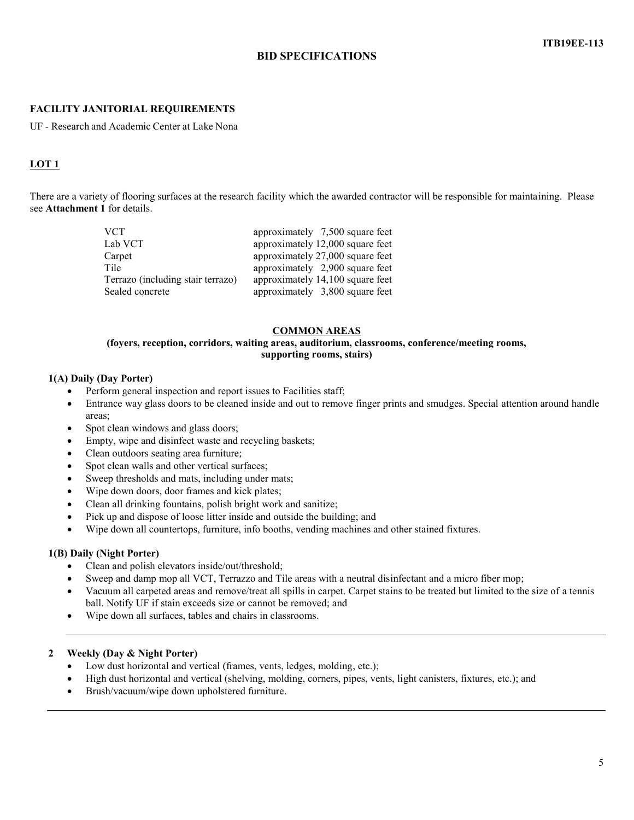# **BID SPECIFICATIONS**

# **FACILITY JANITORIAL REQUIREMENTS**

UF - Research and Academic Center at Lake Nona

# **LOT 1**

There are a variety of flooring surfaces at the research facility which the awarded contractor will be responsible for maintaining. Please see **Attachment 1** for details.

| <b>VCT</b>                        | approximately 7,500 square feet  |
|-----------------------------------|----------------------------------|
| Lab VCT                           | approximately 12,000 square feet |
| Carpet                            | approximately 27,000 square feet |
| Tile                              | approximately 2,900 square feet  |
| Terrazo (including stair terrazo) | approximately 14,100 square feet |
| Sealed concrete                   | approximately 3,800 square feet  |

#### **COMMON AREAS**

# **(foyers, reception, corridors, waiting areas, auditorium, classrooms, conference/meeting rooms, supporting rooms, stairs)**

# **1(A) Daily (Day Porter)**

- Perform general inspection and report issues to Facilities staff;
- Entrance way glass doors to be cleaned inside and out to remove finger prints and smudges. Special attention around handle areas;
- Spot clean windows and glass doors;
- Empty, wipe and disinfect waste and recycling baskets;
- Clean outdoors seating area furniture;
- Spot clean walls and other vertical surfaces;
- Sweep thresholds and mats, including under mats;
- Wipe down doors, door frames and kick plates;
- Clean all drinking fountains, polish bright work and sanitize;
- Pick up and dispose of loose litter inside and outside the building; and
- Wipe down all countertops, furniture, info booths, vending machines and other stained fixtures.

# **1(B) Daily (Night Porter)**

- Clean and polish elevators inside/out/threshold;
- Sweep and damp mop all VCT, Terrazzo and Tile areas with a neutral disinfectant and a micro fiber mop;
- Vacuum all carpeted areas and remove/treat all spills in carpet. Carpet stains to be treated but limited to the size of a tennis ball. Notify UF if stain exceeds size or cannot be removed; and
- Wipe down all surfaces, tables and chairs in classrooms.

#### **2 Weekly (Day & Night Porter)**

- Low dust horizontal and vertical (frames, vents, ledges, molding, etc.);
- High dust horizontal and vertical (shelving, molding, corners, pipes, vents, light canisters, fixtures, etc.); and
- Brush/vacuum/wipe down upholstered furniture.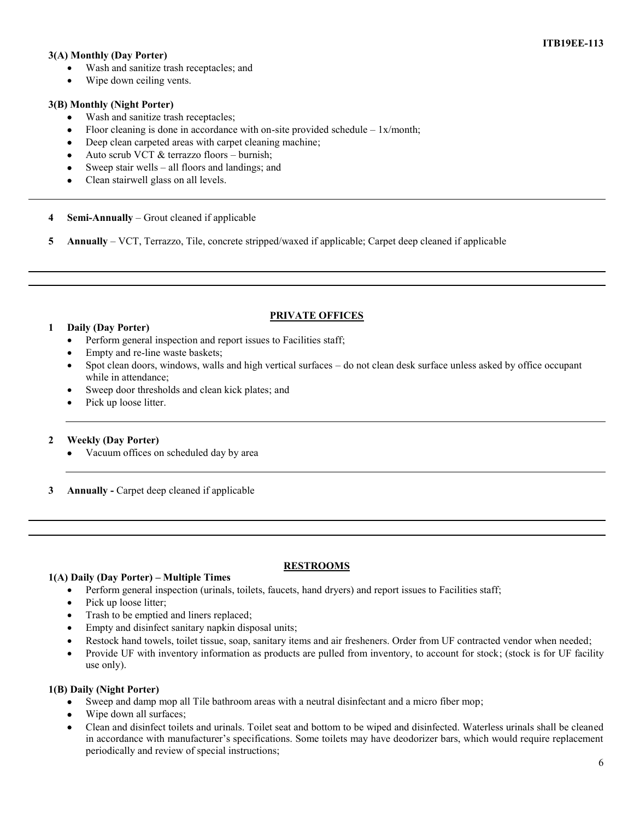# **ITB19EE-113**

# **3(A) Monthly (Day Porter)**

- Wash and sanitize trash receptacles; and
- Wipe down ceiling vents.

# **3(B) Monthly (Night Porter)**

- Wash and sanitize trash receptacles;
- Floor cleaning is done in accordance with on-site provided schedule  $-1x/m$ onth;
- Deep clean carpeted areas with carpet cleaning machine;
- Auto scrub VCT & terrazzo floors burnish;
- Sweep stair wells all floors and landings; and
- Clean stairwell glass on all levels.

**4 Semi-Annually** – Grout cleaned if applicable

**5 Annually** – VCT, Terrazzo, Tile, concrete stripped/waxed if applicable; Carpet deep cleaned if applicable

# **PRIVATE OFFICES**

# **1 Daily (Day Porter)**

- Perform general inspection and report issues to Facilities staff;
- Empty and re-line waste baskets;
- Spot clean doors, windows, walls and high vertical surfaces do not clean desk surface unless asked by office occupant while in attendance;
- Sweep door thresholds and clean kick plates; and
- Pick up loose litter.

# **2 Weekly (Day Porter)**

- Vacuum offices on scheduled day by area
- **3 Annually -** Carpet deep cleaned if applicable

#### **RESTROOMS**

#### **1(A) Daily (Day Porter) – Multiple Times**

- Perform general inspection (urinals, toilets, faucets, hand dryers) and report issues to Facilities staff;
- Pick up loose litter;
- Trash to be emptied and liners replaced;
- Empty and disinfect sanitary napkin disposal units;
- Restock hand towels, toilet tissue, soap, sanitary items and air fresheners. Order from UF contracted vendor when needed;
- Provide UF with inventory information as products are pulled from inventory, to account for stock; (stock is for UF facility use only).

# **1(B) Daily (Night Porter)**

- Sweep and damp mop all Tile bathroom areas with a neutral disinfectant and a micro fiber mop;
- Wipe down all surfaces;
- Clean and disinfect toilets and urinals. Toilet seat and bottom to be wiped and disinfected. Waterless urinals shall be cleaned in accordance with manufacturer's specifications. Some toilets may have deodorizer bars, which would require replacement periodically and review of special instructions;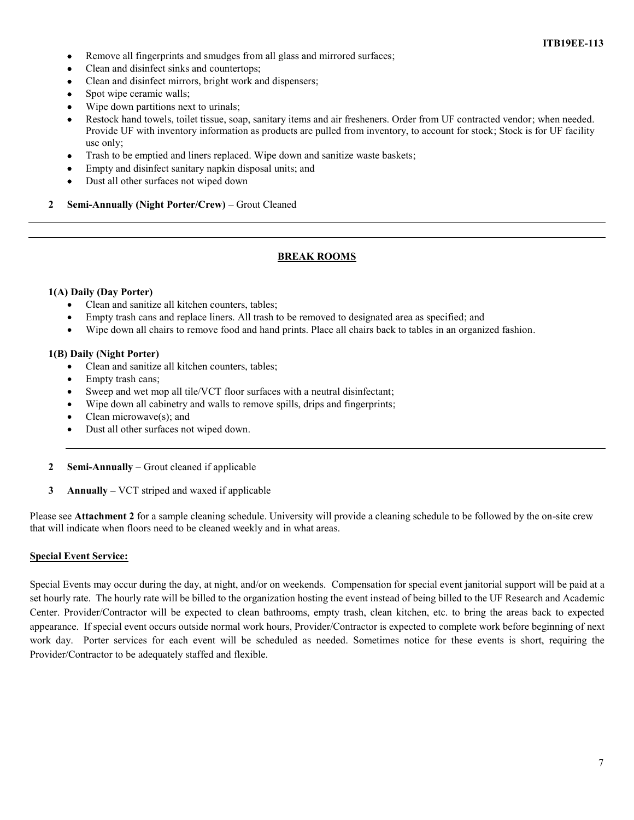- Remove all fingerprints and smudges from all glass and mirrored surfaces;
- Clean and disinfect sinks and countertops;
- Clean and disinfect mirrors, bright work and dispensers;
- Spot wipe ceramic walls;
- Wipe down partitions next to urinals;
- Restock hand towels, toilet tissue, soap, sanitary items and air fresheners. Order from UF contracted vendor; when needed. Provide UF with inventory information as products are pulled from inventory, to account for stock; Stock is for UF facility use only;
- Trash to be emptied and liners replaced. Wipe down and sanitize waste baskets;
- Empty and disinfect sanitary napkin disposal units; and
- Dust all other surfaces not wiped down
- **2 Semi-Annually (Night Porter/Crew)** Grout Cleaned

# **BREAK ROOMS**

#### **1(A) Daily (Day Porter)**

- Clean and sanitize all kitchen counters, tables;
- Empty trash cans and replace liners. All trash to be removed to designated area as specified; and
- Wipe down all chairs to remove food and hand prints. Place all chairs back to tables in an organized fashion.

#### **1(B) Daily (Night Porter)**

- Clean and sanitize all kitchen counters, tables;
- Empty trash cans;
- Sweep and wet mop all tile/VCT floor surfaces with a neutral disinfectant;
- Wipe down all cabinetry and walls to remove spills, drips and fingerprints;
- Clean microwave(s); and
- Dust all other surfaces not wiped down.
- **2 Semi-Annually** Grout cleaned if applicable
- **3 Annually –** VCT striped and waxed if applicable

Please see **Attachment 2** for a sample cleaning schedule. University will provide a cleaning schedule to be followed by the on-site crew that will indicate when floors need to be cleaned weekly and in what areas.

#### **Special Event Service:**

Special Events may occur during the day, at night, and/or on weekends. Compensation for special event janitorial support will be paid at a set hourly rate. The hourly rate will be billed to the organization hosting the event instead of being billed to the UF Research and Academic Center. Provider/Contractor will be expected to clean bathrooms, empty trash, clean kitchen, etc. to bring the areas back to expected appearance. If special event occurs outside normal work hours, Provider/Contractor is expected to complete work before beginning of next work day. Porter services for each event will be scheduled as needed. Sometimes notice for these events is short, requiring the Provider/Contractor to be adequately staffed and flexible.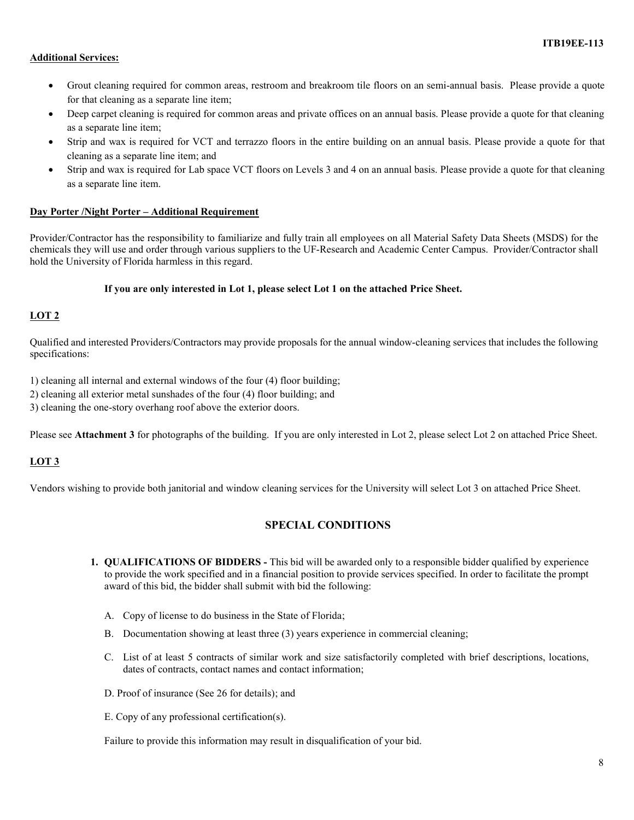# **Additional Services:**

- Grout cleaning required for common areas, restroom and breakroom tile floors on an semi-annual basis. Please provide a quote for that cleaning as a separate line item;
- Deep carpet cleaning is required for common areas and private offices on an annual basis. Please provide a quote for that cleaning as a separate line item;
- Strip and wax is required for VCT and terrazzo floors in the entire building on an annual basis. Please provide a quote for that cleaning as a separate line item; and
- Strip and wax is required for Lab space VCT floors on Levels 3 and 4 on an annual basis. Please provide a quote for that cleaning as a separate line item.

# **Day Porter /Night Porter – Additional Requirement**

Provider/Contractor has the responsibility to familiarize and fully train all employees on all Material Safety Data Sheets (MSDS) for the chemicals they will use and order through various suppliers to the UF-Research and Academic Center Campus. Provider/Contractor shall hold the University of Florida harmless in this regard.

#### **If you are only interested in Lot 1, please select Lot 1 on the attached Price Sheet.**

# **LOT 2**

Qualified and interested Providers/Contractors may provide proposals for the annual window-cleaning services that includes the following specifications:

1) cleaning all internal and external windows of the four (4) floor building;

2) cleaning all exterior metal sunshades of the four (4) floor building; and

3) cleaning the one-story overhang roof above the exterior doors.

Please see **Attachment 3** for photographs of the building. If you are only interested in Lot 2, please select Lot 2 on attached Price Sheet.

# **LOT 3**

Vendors wishing to provide both janitorial and window cleaning services for the University will select Lot 3 on attached Price Sheet.

# **SPECIAL CONDITIONS**

- **1. QUALIFICATIONS OF BIDDERS -** This bid will be awarded only to a responsible bidder qualified by experience to provide the work specified and in a financial position to provide services specified. In order to facilitate the prompt award of this bid, the bidder shall submit with bid the following:
	- A. Copy of license to do business in the State of Florida;
	- B. Documentation showing at least three (3) years experience in commercial cleaning;
	- C. List of at least 5 contracts of similar work and size satisfactorily completed with brief descriptions, locations, dates of contracts, contact names and contact information;
	- D. Proof of insurance (See 26 for details); and
	- E. Copy of any professional certification(s).

Failure to provide this information may result in disqualification of your bid.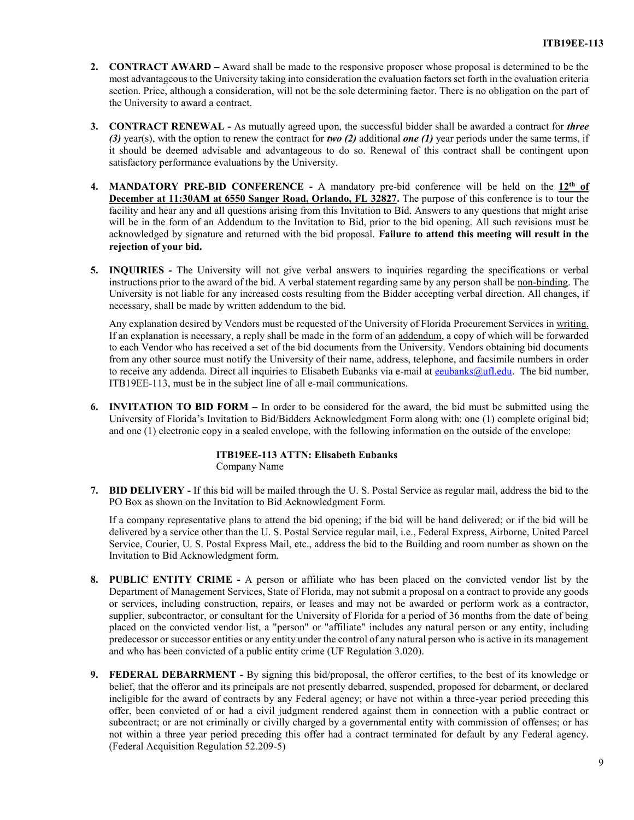- **2. CONTRACT AWARD –** Award shall be made to the responsive proposer whose proposal is determined to be the most advantageous to the University taking into consideration the evaluation factors set forth in the evaluation criteria section. Price, although a consideration, will not be the sole determining factor. There is no obligation on the part of the University to award a contract.
- **3. CONTRACT RENEWAL -** As mutually agreed upon, the successful bidder shall be awarded a contract for *three (3)* year(s), with the option to renew the contract for *two (2)* additional *one (1)* year periods under the same terms, if it should be deemed advisable and advantageous to do so. Renewal of this contract shall be contingent upon satisfactory performance evaluations by the University.
- **4. MANDATORY PRE-BID CONFERENCE -** A mandatory pre-bid conference will be held on the **12th of December at 11:30AM at 6550 Sanger Road, Orlando, FL 32827.** The purpose of this conference is to tour the facility and hear any and all questions arising from this Invitation to Bid. Answers to any questions that might arise will be in the form of an Addendum to the Invitation to Bid, prior to the bid opening. All such revisions must be acknowledged by signature and returned with the bid proposal. **Failure to attend this meeting will result in the rejection of your bid.**
- **5. INQUIRIES -** The University will not give verbal answers to inquiries regarding the specifications or verbal instructions prior to the award of the bid. A verbal statement regarding same by any person shall be non-binding. The University is not liable for any increased costs resulting from the Bidder accepting verbal direction. All changes, if necessary, shall be made by written addendum to the bid.

Any explanation desired by Vendors must be requested of the University of Florida Procurement Services in writing. If an explanation is necessary, a reply shall be made in the form of an addendum, a copy of which will be forwarded to each Vendor who has received a set of the bid documents from the University. Vendors obtaining bid documents from any other source must notify the University of their name, address, telephone, and facsimile numbers in order to receive any addenda. Direct all inquiries to Elisabeth Eubanks via e-mail at equivants and equilect The bid number, ITB19EE-113, must be in the subject line of all e-mail communications.

**6. INVITATION TO BID FORM –** In order to be considered for the award, the bid must be submitted using the University of Florida's Invitation to Bid/Bidders Acknowledgment Form along with: one (1) complete original bid; and one (1) electronic copy in a sealed envelope, with the following information on the outside of the envelope:

# **ITB19EE-113 ATTN: Elisabeth Eubanks** Company Name

**7. BID DELIVERY -** If this bid will be mailed through the U. S. Postal Service as regular mail, address the bid to the PO Box as shown on the Invitation to Bid Acknowledgment Form.

If a company representative plans to attend the bid opening; if the bid will be hand delivered; or if the bid will be delivered by a service other than the U. S. Postal Service regular mail, i.e., Federal Express, Airborne, United Parcel Service, Courier, U. S. Postal Express Mail, etc., address the bid to the Building and room number as shown on the Invitation to Bid Acknowledgment form.

- **8. PUBLIC ENTITY CRIME -** A person or affiliate who has been placed on the convicted vendor list by the Department of Management Services, State of Florida, may not submit a proposal on a contract to provide any goods or services, including construction, repairs, or leases and may not be awarded or perform work as a contractor, supplier, subcontractor, or consultant for the University of Florida for a period of 36 months from the date of being placed on the convicted vendor list, a "person" or "affiliate" includes any natural person or any entity, including predecessor or successor entities or any entity under the control of any natural person who is active in its management and who has been convicted of a public entity crime (UF Regulation 3.020).
- **9. FEDERAL DEBARRMENT -** By signing this bid/proposal, the offeror certifies, to the best of its knowledge or belief, that the offeror and its principals are not presently debarred, suspended, proposed for debarment, or declared ineligible for the award of contracts by any Federal agency; or have not within a three-year period preceding this offer, been convicted of or had a civil judgment rendered against them in connection with a public contract or subcontract; or are not criminally or civilly charged by a governmental entity with commission of offenses; or has not within a three year period preceding this offer had a contract terminated for default by any Federal agency. (Federal Acquisition Regulation 52.209-5)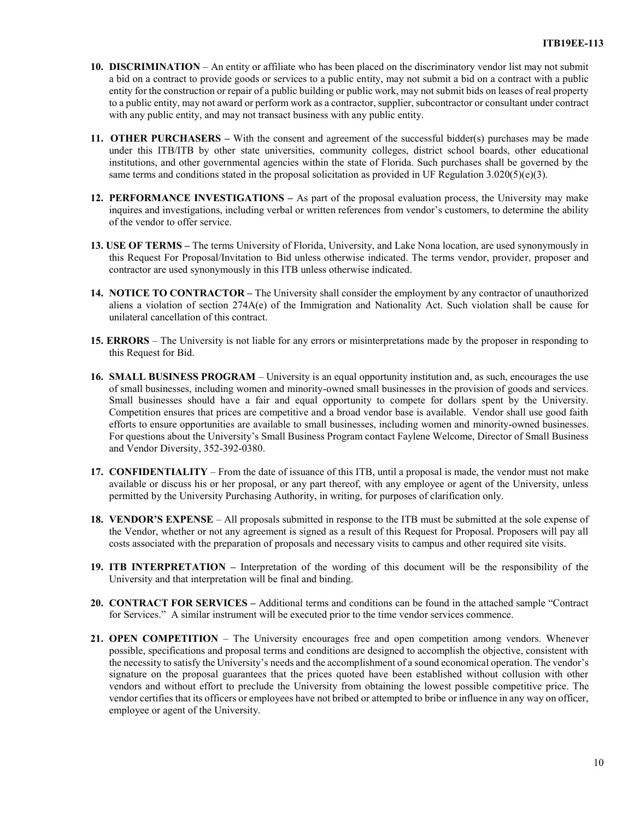- **10. DISCRIMINATION** An entity or affiliate who has been placed on the discriminatory vendor list may not submit a bid on a contract to provide goods or services to a public entity, may not submit a bid on a contract with a public entity for the construction or repair of a public building or public work, may not submit bids on leases of real property to a public entity, may not award or perform work as a contractor, supplier, subcontractor or consultant under contract with any public entity, and may not transact business with any public entity.
- **11. OTHER PURCHASERS –** With the consent and agreement of the successful bidder(s) purchases may be made under this ITB/ITB by other state universities, community colleges, district school boards, other educational institutions, and other governmental agencies within the state of Florida. Such purchases shall be governed by the same terms and conditions stated in the proposal solicitation as provided in UF Regulation 3.020(5)(e)(3).
- **12. PERFORMANCE INVESTIGATIONS –** As part of the proposal evaluation process, the University may make inquires and investigations, including verbal or written references from vendor's customers, to determine the ability of the vendor to offer service.
- **13. USE OF TERMS –** The terms University of Florida, University, and Lake Nona location, are used synonymously in this Request For Proposal/Invitation to Bid unless otherwise indicated. The terms vendor, provider, proposer and contractor are used synonymously in this ITB unless otherwise indicated.
- **14. NOTICE TO CONTRACTOR –** The University shall consider the employment by any contractor of unauthorized aliens a violation of section 274A(e) of the Immigration and Nationality Act. Such violation shall be cause for unilateral cancellation of this contract.
- **15. ERRORS**  The University is not liable for any errors or misinterpretations made by the proposer in responding to this Request for Bid.
- **16. SMALL BUSINESS PROGRAM** University is an equal opportunity institution and, as such, encourages the use of small businesses, including women and minority-owned small businesses in the provision of goods and services. Small businesses should have a fair and equal opportunity to compete for dollars spent by the University. Competition ensures that prices are competitive and a broad vendor base is available. Vendor shall use good faith efforts to ensure opportunities are available to small businesses, including women and minority-owned businesses. For questions about the University's Small Business Program contact Faylene Welcome, Director of Small Business and Vendor Diversity, 352-392-0380.
- **17. CONFIDENTIALITY**  From the date of issuance of this ITB, until a proposal is made, the vendor must not make available or discuss his or her proposal, or any part thereof, with any employee or agent of the University, unless permitted by the University Purchasing Authority, in writing, for purposes of clarification only.
- **18. VENDOR'S EXPENSE**  All proposals submitted in response to the ITB must be submitted at the sole expense of the Vendor, whether or not any agreement is signed as a result of this Request for Proposal. Proposers will pay all costs associated with the preparation of proposals and necessary visits to campus and other required site visits.
- **19. ITB INTERPRETATION –** Interpretation of the wording of this document will be the responsibility of the University and that interpretation will be final and binding.
- **20. CONTRACT FOR SERVICES –** Additional terms and conditions can be found in the attached sample "Contract for Services." A similar instrument will be executed prior to the time vendor services commence.
- **21. OPEN COMPETITION** The University encourages free and open competition among vendors. Whenever possible, specifications and proposal terms and conditions are designed to accomplish the objective, consistent with the necessity to satisfy the University's needs and the accomplishment of a sound economical operation. The vendor's signature on the proposal guarantees that the prices quoted have been established without collusion with other vendors and without effort to preclude the University from obtaining the lowest possible competitive price. The vendor certifies that its officers or employees have not bribed or attempted to bribe or influence in any way on officer, employee or agent of the University.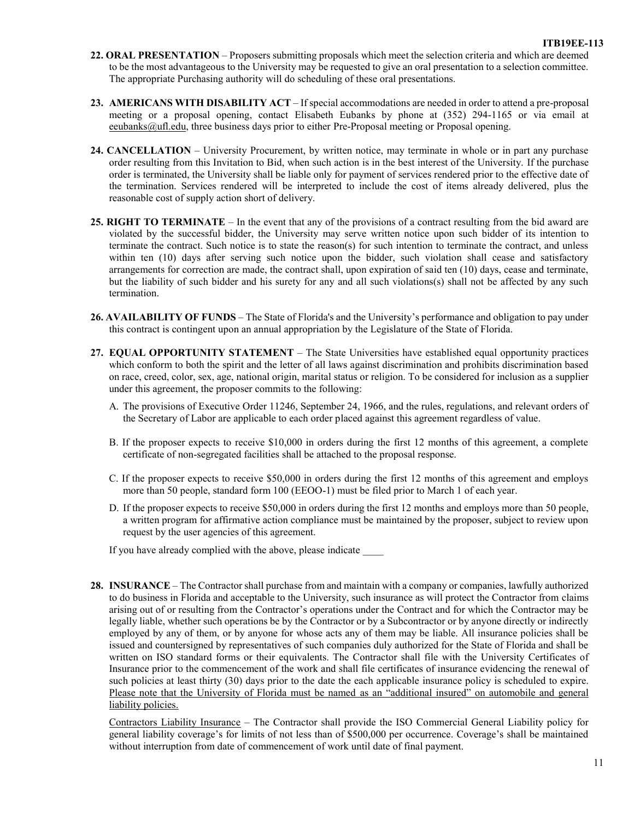- **22. ORAL PRESENTATION**  Proposers submitting proposals which meet the selection criteria and which are deemed to be the most advantageous to the University may be requested to give an oral presentation to a selection committee. The appropriate Purchasing authority will do scheduling of these oral presentations.
- **23. AMERICANS WITH DISABILITY ACT**  If special accommodations are needed in order to attend a pre-proposal meeting or a proposal opening, contact Elisabeth Eubanks by phone at (352) 294-1165 or via email at eeubanks@ufl.edu, three business days prior to either Pre-Proposal meeting or Proposal opening.
- **24. CANCELLATION** University Procurement, by written notice, may terminate in whole or in part any purchase order resulting from this Invitation to Bid, when such action is in the best interest of the University. If the purchase order is terminated, the University shall be liable only for payment of services rendered prior to the effective date of the termination. Services rendered will be interpreted to include the cost of items already delivered, plus the reasonable cost of supply action short of delivery.
- **25. RIGHT TO TERMINATE** In the event that any of the provisions of a contract resulting from the bid award are violated by the successful bidder, the University may serve written notice upon such bidder of its intention to terminate the contract. Such notice is to state the reason(s) for such intention to terminate the contract, and unless within ten (10) days after serving such notice upon the bidder, such violation shall cease and satisfactory arrangements for correction are made, the contract shall, upon expiration of said ten (10) days, cease and terminate, but the liability of such bidder and his surety for any and all such violations(s) shall not be affected by any such termination.
- **26. AVAILABILITY OF FUNDS** The State of Florida's and the University's performance and obligation to pay under this contract is contingent upon an annual appropriation by the Legislature of the State of Florida.
- **27. EQUAL OPPORTUNITY STATEMENT**  The State Universities have established equal opportunity practices which conform to both the spirit and the letter of all laws against discrimination and prohibits discrimination based on race, creed, color, sex, age, national origin, marital status or religion. To be considered for inclusion as a supplier under this agreement, the proposer commits to the following:
	- A. The provisions of Executive Order 11246, September 24, 1966, and the rules, regulations, and relevant orders of the Secretary of Labor are applicable to each order placed against this agreement regardless of value.
	- B. If the proposer expects to receive \$10,000 in orders during the first 12 months of this agreement, a complete certificate of non-segregated facilities shall be attached to the proposal response.
	- C. If the proposer expects to receive \$50,000 in orders during the first 12 months of this agreement and employs more than 50 people, standard form 100 (EEOO-1) must be filed prior to March 1 of each year.
	- D. If the proposer expects to receive \$50,000 in orders during the first 12 months and employs more than 50 people, a written program for affirmative action compliance must be maintained by the proposer, subject to review upon request by the user agencies of this agreement.

If you have already complied with the above, please indicate

**28. INSURANCE** – The Contractor shall purchase from and maintain with a company or companies, lawfully authorized to do business in Florida and acceptable to the University, such insurance as will protect the Contractor from claims arising out of or resulting from the Contractor's operations under the Contract and for which the Contractor may be legally liable, whether such operations be by the Contractor or by a Subcontractor or by anyone directly or indirectly employed by any of them, or by anyone for whose acts any of them may be liable. All insurance policies shall be issued and countersigned by representatives of such companies duly authorized for the State of Florida and shall be written on ISO standard forms or their equivalents. The Contractor shall file with the University Certificates of Insurance prior to the commencement of the work and shall file certificates of insurance evidencing the renewal of such policies at least thirty (30) days prior to the date the each applicable insurance policy is scheduled to expire. Please note that the University of Florida must be named as an "additional insured" on automobile and general liability policies.

Contractors Liability Insurance – The Contractor shall provide the ISO Commercial General Liability policy for general liability coverage's for limits of not less than of \$500,000 per occurrence. Coverage's shall be maintained without interruption from date of commencement of work until date of final payment.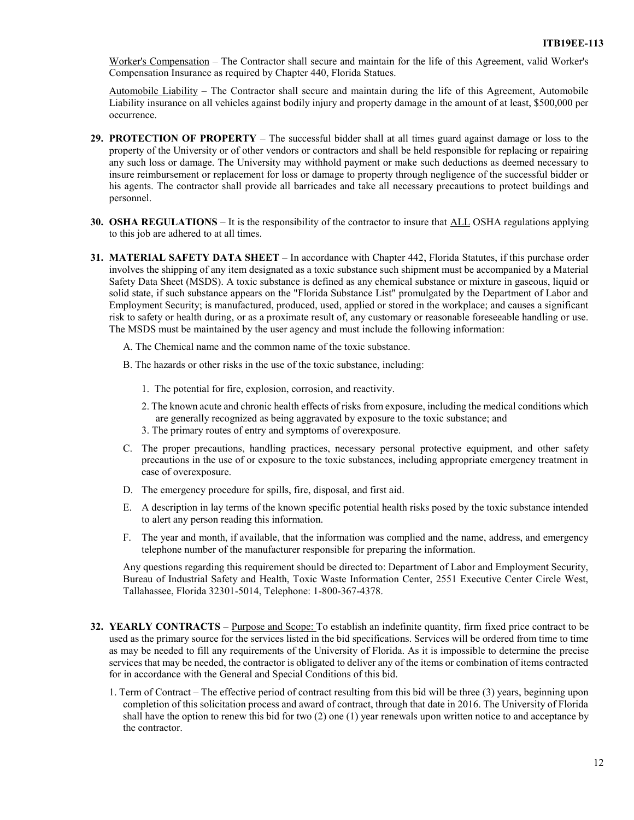Worker's Compensation – The Contractor shall secure and maintain for the life of this Agreement, valid Worker's Compensation Insurance as required by Chapter 440, Florida Statues.

Automobile Liability – The Contractor shall secure and maintain during the life of this Agreement, Automobile Liability insurance on all vehicles against bodily injury and property damage in the amount of at least, \$500,000 per occurrence.

- **29. PROTECTION OF PROPERTY**  The successful bidder shall at all times guard against damage or loss to the property of the University or of other vendors or contractors and shall be held responsible for replacing or repairing any such loss or damage. The University may withhold payment or make such deductions as deemed necessary to insure reimbursement or replacement for loss or damage to property through negligence of the successful bidder or his agents. The contractor shall provide all barricades and take all necessary precautions to protect buildings and personnel.
- **30. OSHA REGULATIONS**  It is the responsibility of the contractor to insure that ALL OSHA regulations applying to this job are adhered to at all times.
- **31. MATERIAL SAFETY DATA SHEET**  In accordance with Chapter 442, Florida Statutes, if this purchase order involves the shipping of any item designated as a toxic substance such shipment must be accompanied by a Material Safety Data Sheet (MSDS). A toxic substance is defined as any chemical substance or mixture in gaseous, liquid or solid state, if such substance appears on the "Florida Substance List" promulgated by the Department of Labor and Employment Security; is manufactured, produced, used, applied or stored in the workplace; and causes a significant risk to safety or health during, or as a proximate result of, any customary or reasonable foreseeable handling or use. The MSDS must be maintained by the user agency and must include the following information:
	- A. The Chemical name and the common name of the toxic substance.
	- B. The hazards or other risks in the use of the toxic substance, including:
		- 1. The potential for fire, explosion, corrosion, and reactivity.
		- 2. The known acute and chronic health effects of risks from exposure, including the medical conditions which are generally recognized as being aggravated by exposure to the toxic substance; and
		- 3. The primary routes of entry and symptoms of overexposure.
	- C. The proper precautions, handling practices, necessary personal protective equipment, and other safety precautions in the use of or exposure to the toxic substances, including appropriate emergency treatment in case of overexposure.
	- D. The emergency procedure for spills, fire, disposal, and first aid.
	- E. A description in lay terms of the known specific potential health risks posed by the toxic substance intended to alert any person reading this information.
	- F. The year and month, if available, that the information was complied and the name, address, and emergency telephone number of the manufacturer responsible for preparing the information.

Any questions regarding this requirement should be directed to: Department of Labor and Employment Security, Bureau of Industrial Safety and Health, Toxic Waste Information Center, 2551 Executive Center Circle West, Tallahassee, Florida 32301-5014, Telephone: 1-800-367-4378.

- **32. YEARLY CONTRACTS** Purpose and Scope: To establish an indefinite quantity, firm fixed price contract to be used as the primary source for the services listed in the bid specifications. Services will be ordered from time to time as may be needed to fill any requirements of the University of Florida. As it is impossible to determine the precise services that may be needed, the contractor is obligated to deliver any of the items or combination of items contracted for in accordance with the General and Special Conditions of this bid.
	- 1. Term of Contract The effective period of contract resulting from this bid will be three (3) years, beginning upon completion of this solicitation process and award of contract, through that date in 2016. The University of Florida shall have the option to renew this bid for two (2) one (1) year renewals upon written notice to and acceptance by the contractor.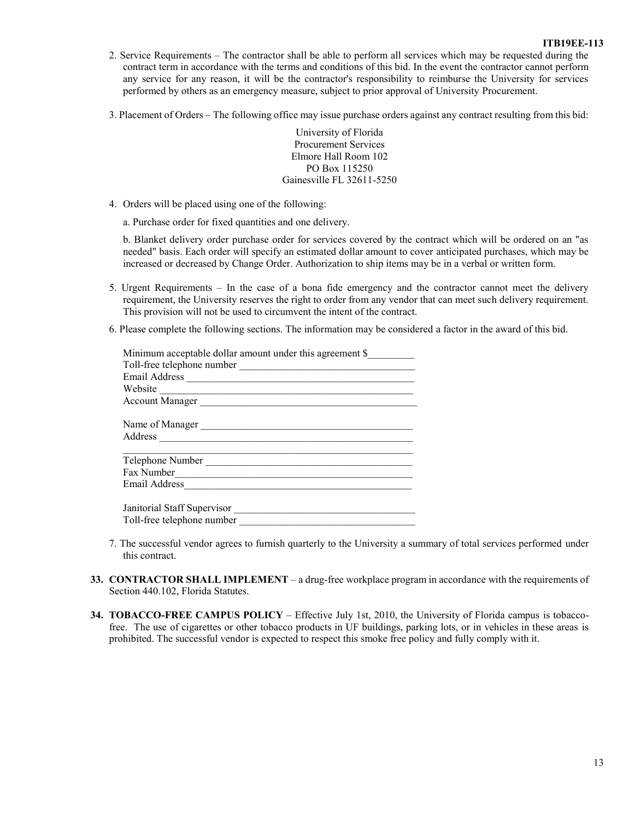#### **ITB19EE-113**

- 2. Service Requirements The contractor shall be able to perform all services which may be requested during the contract term in accordance with the terms and conditions of this bid. In the event the contractor cannot perform any service for any reason, it will be the contractor's responsibility to reimburse the University for services performed by others as an emergency measure, subject to prior approval of University Procurement.
- 3. Placement of Orders The following office may issue purchase orders against any contract resulting from this bid:

University of Florida Procurement Services Elmore Hall Room 102 PO Box 115250 Gainesville FL 32611-5250

- 4. Orders will be placed using one of the following:
	- a. Purchase order for fixed quantities and one delivery.

b. Blanket delivery order purchase order for services covered by the contract which will be ordered on an "as needed" basis. Each order will specify an estimated dollar amount to cover anticipated purchases, which may be increased or decreased by Change Order. Authorization to ship items may be in a verbal or written form.

- 5. Urgent Requirements In the case of a bona fide emergency and the contractor cannot meet the delivery requirement, the University reserves the right to order from any vendor that can meet such delivery requirement. This provision will not be used to circumvent the intent of the contract.
- 6. Please complete the following sections. The information may be considered a factor in the award of this bid.

| Minimum acceptable dollar amount under this agreement \$                                             |  |
|------------------------------------------------------------------------------------------------------|--|
| Toll-free telephone number                                                                           |  |
| Email Address                                                                                        |  |
| Website<br>the control of the control of the control of the control of the control of the control of |  |
| Account Manager                                                                                      |  |
| Name of Manager                                                                                      |  |
| Address                                                                                              |  |
| Telephone Number                                                                                     |  |
| Fax Number                                                                                           |  |
| Email Address                                                                                        |  |
| Janitorial Staff Supervisor                                                                          |  |
| Toll-free telephone number                                                                           |  |

- 7. The successful vendor agrees to furnish quarterly to the University a summary of total services performed under this contract.
- **33. CONTRACTOR SHALL IMPLEMENT**  a drug-free workplace program in accordance with the requirements of Section 440.102, Florida Statutes.
- **34. TOBACCO-FREE CAMPUS POLICY**  Effective July 1st, 2010, the University of Florida campus is tobaccofree. The use of cigarettes or other tobacco products in UF buildings, parking lots, or in vehicles in these areas is prohibited. The successful vendor is expected to respect this smoke free policy and fully comply with it.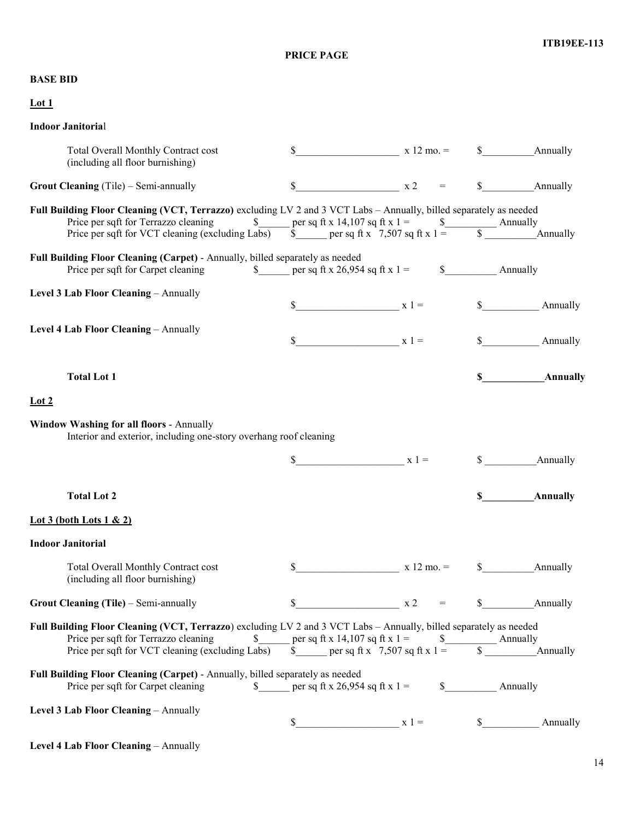**PRICE PAGE**

# **BASE BID**

| Lot1                                                                                                                                                                                                                                                 |                                   |              |                                         |
|------------------------------------------------------------------------------------------------------------------------------------------------------------------------------------------------------------------------------------------------------|-----------------------------------|--------------|-----------------------------------------|
| <b>Indoor Janitorial</b>                                                                                                                                                                                                                             |                                   |              |                                         |
| Total Overall Monthly Contract cost<br>(including all floor burnishing)                                                                                                                                                                              |                                   |              | $\text{N}$ 12 mo. = $\text{N}$ Annually |
| <b>Grout Cleaning</b> (Tile) – Semi-annually                                                                                                                                                                                                         | $x 2 =$                           |              | \$ Annually                             |
| Full Building Floor Cleaning (VCT, Terrazzo) excluding LV 2 and 3 VCT Labs - Annually, billed separately as needed<br>Price per sqft for Terrazzo cleaning $\qquad \qquad \text{S}$ per sq ft x 14,107 sq ft x 1 = $\qquad \qquad \text{S}$ Annually |                                   |              |                                         |
| Price per sqft for VCT cleaning (excluding Labs) $\qquad \qquad$ per sq ft x 7,507 sq ft x 1 = $\qquad \qquad$ Annually                                                                                                                              |                                   |              |                                         |
| Full Building Floor Cleaning (Carpet) - Annually, billed separately as needed<br>Price per sqft for Carpet cleaning                                                                                                                                  |                                   |              | \$ Annually                             |
| Level 3 Lab Floor Cleaning - Annually                                                                                                                                                                                                                |                                   |              |                                         |
|                                                                                                                                                                                                                                                      | $\sqrt{3}$ $x =$                  |              | \$ Annually                             |
| Level 4 Lab Floor Cleaning - Annually                                                                                                                                                                                                                | $\int x \, 1 =$                   |              | $\mathbb{S}$<br>Annually                |
|                                                                                                                                                                                                                                                      |                                   |              |                                         |
| <b>Total Lot 1</b>                                                                                                                                                                                                                                   |                                   |              | $\mathbf S$<br>Annually                 |
| $_{\text{Lot 2}}$                                                                                                                                                                                                                                    |                                   |              |                                         |
| <b>Window Washing for all floors - Annually</b><br>Interior and exterior, including one-story overhang roof cleaning                                                                                                                                 |                                   |              |                                         |
|                                                                                                                                                                                                                                                      | $x 1 =$                           |              | Annually<br>$\mathbb{S}$                |
| <b>Total Lot 2</b>                                                                                                                                                                                                                                   |                                   |              | Annually<br>SS.                         |
| Lot 3 (both Lots $1 \& 2$ )                                                                                                                                                                                                                          |                                   |              |                                         |
| <b>Indoor Janitorial</b>                                                                                                                                                                                                                             |                                   |              |                                         |
| Total Overall Monthly Contract cost<br>(including all floor burnishing)                                                                                                                                                                              | \$                                | $x 12$ mo. = | Annually<br>S                           |
| Grout Cleaning (Tile) - Semi-annually                                                                                                                                                                                                                | \$<br>$\boldsymbol{\mathrm{x}}$ 2 |              | Annually<br>\$                          |
| Full Building Floor Cleaning (VCT, Terrazzo) excluding LV 2 and 3 VCT Labs - Annually, billed separately as needed<br>Price per sqft for Terrazzo cleaning                                                                                           |                                   |              |                                         |
| Price per sqft for VCT cleaning (excluding Labs)                                                                                                                                                                                                     | \$ per sq ft x 7,507 sq ft x 1 =  |              | $\mathbb{S}$<br>Annually                |
| Full Building Floor Cleaning (Carpet) - Annually, billed separately as needed<br>Price per sqft for Carpet cleaning                                                                                                                                  | \$ per sq ft x 26,954 sq ft x 1 = |              | \$ Annually                             |

**Level 3 Lab Floor Cleaning** – Annually

|  | - -<br>- |  |  |
|--|----------|--|--|
|  |          |  |  |

| Level 4 Lab Floor Cleaning - Annually |
|---------------------------------------|
|---------------------------------------|